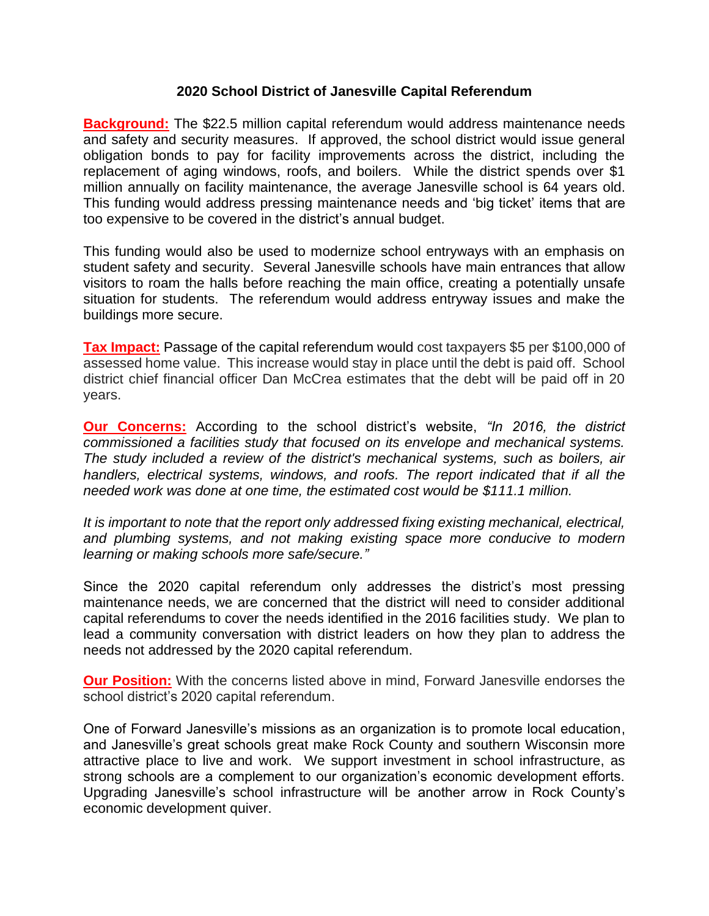## **2020 School District of Janesville Capital Referendum**

**Background:** The \$22.5 million capital referendum would address maintenance needs and safety and security measures. If approved, the school district would issue general obligation bonds to pay for facility improvements across the district, including the replacement of aging windows, roofs, and boilers. While the district spends over \$1 million annually on facility maintenance, the average Janesville school is 64 years old. This funding would address pressing maintenance needs and 'big ticket' items that are too expensive to be covered in the district's annual budget.

This funding would also be used to modernize school entryways with an emphasis on student safety and security. Several Janesville schools have main entrances that allow visitors to roam the halls before reaching the main office, creating a potentially unsafe situation for students. The referendum would address entryway issues and make the buildings more secure.

**Tax Impact:** Passage of the capital referendum would cost taxpayers \$5 per \$100,000 of assessed home value. This increase would stay in place until the debt is paid off. School district chief financial officer Dan McCrea estimates that the debt will be paid off in 20 years.

**Our Concerns:** According to the school district's website, *"In 2016, the district commissioned a facilities study that focused on its envelope and mechanical systems. The study included a review of the district's mechanical systems, such as boilers, air handlers, electrical systems, windows, and roofs. The report indicated that if all the needed work was done at one time, the estimated cost would be \$111.1 million.* 

*It is important to note that the report only addressed fixing existing mechanical, electrical, and plumbing systems, and not making existing space more conducive to modern learning or making schools more safe/secure."*

Since the 2020 capital referendum only addresses the district's most pressing maintenance needs, we are concerned that the district will need to consider additional capital referendums to cover the needs identified in the 2016 facilities study. We plan to lead a community conversation with district leaders on how they plan to address the needs not addressed by the 2020 capital referendum.

**Our Position:** With the concerns listed above in mind, Forward Janesville endorses the school district's 2020 capital referendum.

One of Forward Janesville's missions as an organization is to promote local education, and Janesville's great schools great make Rock County and southern Wisconsin more attractive place to live and work. We support investment in school infrastructure, as strong schools are a complement to our organization's economic development efforts. Upgrading Janesville's school infrastructure will be another arrow in Rock County's economic development quiver.